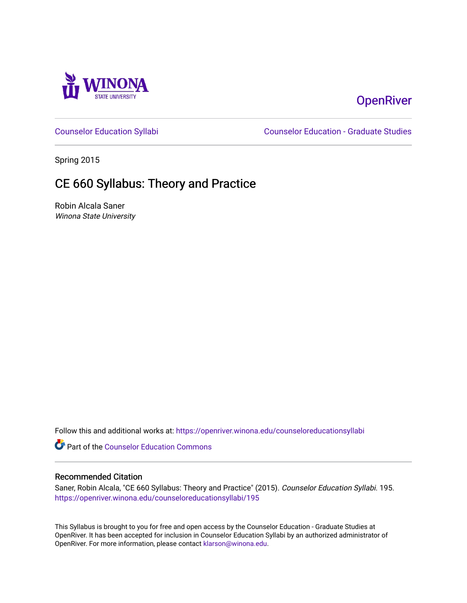

# **OpenRiver**

[Counselor Education Syllabi](https://openriver.winona.edu/counseloreducationsyllabi) [Counselor Education - Graduate Studies](https://openriver.winona.edu/counseloreducation) 

Spring 2015

# CE 660 Syllabus: Theory and Practice

Robin Alcala Saner Winona State University

Follow this and additional works at: [https://openriver.winona.edu/counseloreducationsyllabi](https://openriver.winona.edu/counseloreducationsyllabi?utm_source=openriver.winona.edu%2Fcounseloreducationsyllabi%2F195&utm_medium=PDF&utm_campaign=PDFCoverPages)

Part of the [Counselor Education Commons](http://network.bepress.com/hgg/discipline/1278?utm_source=openriver.winona.edu%2Fcounseloreducationsyllabi%2F195&utm_medium=PDF&utm_campaign=PDFCoverPages) 

#### Recommended Citation

Saner, Robin Alcala, "CE 660 Syllabus: Theory and Practice" (2015). Counselor Education Syllabi. 195. [https://openriver.winona.edu/counseloreducationsyllabi/195](https://openriver.winona.edu/counseloreducationsyllabi/195?utm_source=openriver.winona.edu%2Fcounseloreducationsyllabi%2F195&utm_medium=PDF&utm_campaign=PDFCoverPages)

This Syllabus is brought to you for free and open access by the Counselor Education - Graduate Studies at OpenRiver. It has been accepted for inclusion in Counselor Education Syllabi by an authorized administrator of OpenRiver. For more information, please contact [klarson@winona.edu](mailto:klarson@winona.edu).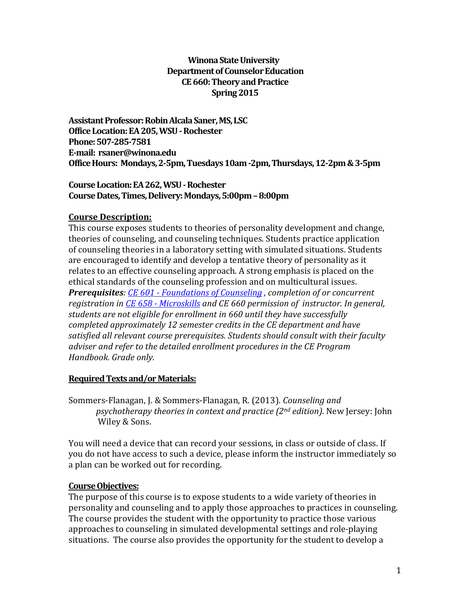### **Winona State University Department of Counselor Education CE 660: Theory and Practice Spring 2015**

**Assistant Professor: Robin Alcala Saner, MS, LSC Office Location:EA 205, WSU -Rochester Phone:507-285-7581 E-mail: rsaner@winona.edu Office Hours: Mondays, 2-5pm, Tuesdays10am -2pm, Thursdays, 12-2pm & 3-5pm**

### **Course Location:EA 262, WSU -Rochester Course Dates, Times, Delivery:Mondays, 5:00pm –8:00pm**

### **Course Description:**

This course exposes students to theories of personality development and change, theories of counseling, and counseling techniques. Students practice application of counseling theories in a laboratory setting with simulated situations. Students are encouraged to identify and develop a tentative theory of personality as it relates to an effective counseling approach. A strong emphasis is placed on the ethical standards of the counseling profession and on multicultural issues. *Prerequisites: CE 601 - [Foundations of Counseling](http://catalog.winona.edu/content.php?filter%5B27%5D=CE&filter%5B29%5D=660&filter%5Bcourse_type%5D=-1&filter%5Bkeyword%5D=&filter%5B32%5D=1&filter%5Bcpage%5D=1&cur_cat_oid=11&expand=&navoid=1013&search_database=Filter%23tt490) , completion of or concurrent registration in CE 658 - [Microskills](http://catalog.winona.edu/content.php?filter%5B27%5D=CE&filter%5B29%5D=660&filter%5Bcourse_type%5D=-1&filter%5Bkeyword%5D=&filter%5B32%5D=1&filter%5Bcpage%5D=1&cur_cat_oid=11&expand=&navoid=1013&search_database=Filter%23tt487) and CE 660 permission of instructor. In general, students are not eligible for enrollment in 660 until they have successfully completed approximately 12 semester credits in the CE department and have satisfied all relevant course prerequisites. Students should consult with their faculty adviser and refer to the detailed enrollment procedures in the CE Program Handbook. Grade only.*

### **Required Texts and/or Materials:**

Sommers-Flanagan, J. & Sommers-Flanagan, R. (2013). *Counseling and psychotherapy theories in context and practice (2nd edition).* New Jersey: John Wiley & Sons.

You will need a device that can record your sessions, in class or outside of class. If you do not have access to such a device, please inform the instructor immediately so a plan can be worked out for recording.

### **Course Objectives:**

The purpose of this course is to expose students to a wide variety of theories in personality and counseling and to apply those approaches to practices in counseling. The course provides the student with the opportunity to practice those various approaches to counseling in simulated developmental settings and role-playing situations. The course also provides the opportunity for the student to develop a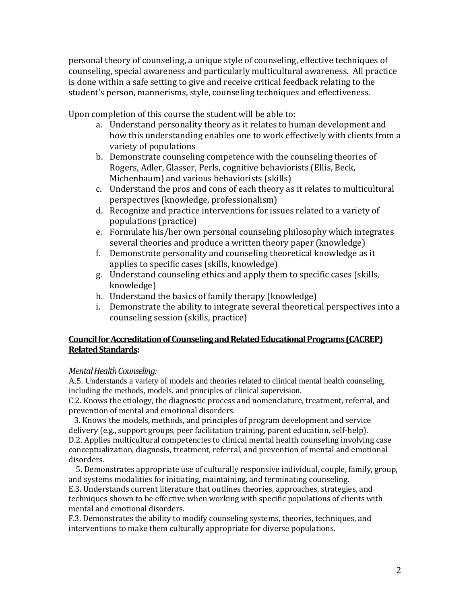personal theory of counseling, a unique style of counseling, effective techniques of counseling, special awareness and particularly multicultural awareness. All practice is done within a safe setting to give and receive critical feedback relating to the student's person, mannerisms, style, counseling techniques and effectiveness.

Upon completion of this course the student will be able to:

- a. Understand personality theory as it relates to human development and how this understanding enables one to work effectively with clients from a variety of populations
- b. Demonstrate counseling competence with the counseling theories of Rogers, Adler, Glasser, Perls, cognitive behaviorists (Ellis, Beck, Michenbaum) and various behaviorists (skills)
- c. Understand the pros and cons of each theory as it relates to multicultural perspectives (knowledge, professionalism)
- d. Recognize and practice interventions for issues related to a variety of populations (practice)
- e. Formulate his/her own personal counseling philosophy which integrates several theories and produce a written theory paper (knowledge)
- f. Demonstrate personality and counseling theoretical knowledge as it applies to specific cases (skills, knowledge)
- g. Understand counseling ethics and apply them to specific cases (skills, knowledge)
- h. Understand the basics of family therapy (knowledge)
- i. Demonstrate the ability to integrate several theoretical perspectives into a counseling session (skills, practice)

### **Council for Accreditation of Counseling and Related Educational Programs (CACREP) Related Standards:**

### *Mental Health Counseling:*

A.5. Understands a variety of models and theories related to clinical mental health counseling, including the methods, models, and principles of clinical supervision.

C.2. Knows the etiology, the diagnostic process and nomenclature, treatment, referral, and prevention of mental and emotional disorders.

 3. Knows the models, methods, and principles of program development and service delivery (e.g., support groups, peer facilitation training, parent education, self-help). D.2. Applies multicultural competencies to clinical mental health counseling involving case conceptualization, diagnosis, treatment, referral, and prevention of mental and emotional disorders.

 5. Demonstrates appropriate use of culturally responsive individual, couple, family, group, and systems modalities for initiating, maintaining, and terminating counseling.

E.3. Understands current literature that outlines theories, approaches, strategies, and techniques shown to be effective when working with specific populations of clients with mental and emotional disorders.

F.3. Demonstrates the ability to modify counseling systems, theories, techniques, and interventions to make them culturally appropriate for diverse populations.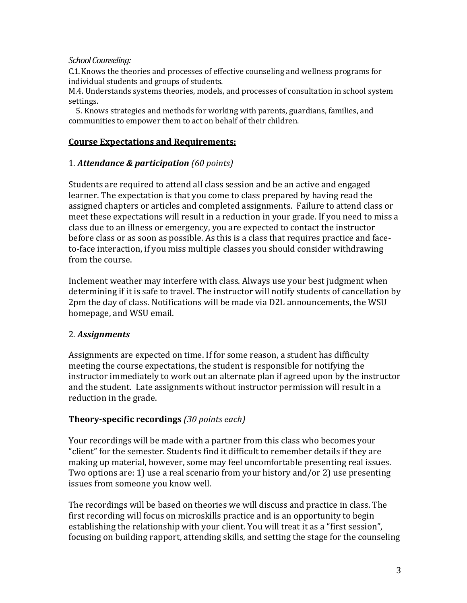### *School Counseling:*

C.1. Knows the theories and processes of effective counseling and wellness programs for individual students and groups of students.

M.4. Understands systems theories, models, and processes of consultation in school system settings.

 5. Knows strategies and methods for working with parents, guardians, families, and communities to empower them to act on behalf of their children.

### **Course Expectations and Requirements:**

### 1. *Attendance & participation (60 points)*

Students are required to attend all class session and be an active and engaged learner. The expectation is that you come to class prepared by having read the assigned chapters or articles and completed assignments. Failure to attend class or meet these expectations will result in a reduction in your grade. If you need to miss a class due to an illness or emergency, you are expected to contact the instructor before class or as soon as possible. As this is a class that requires practice and faceto-face interaction, if you miss multiple classes you should consider withdrawing from the course.

Inclement weather may interfere with class. Always use your best judgment when determining if it is safe to travel. The instructor will notify students of cancellation by 2pm the day of class. Notifications will be made via D2L announcements, the WSU homepage, and WSU email.

### 2. *Assignments*

Assignments are expected on time. If for some reason, a student has difficulty meeting the course expectations, the student is responsible for notifying the instructor immediately to work out an alternate plan if agreed upon by the instructor and the student. Late assignments without instructor permission will result in a reduction in the grade.

### **Theory-specific recordings** *(30 points each)*

Your recordings will be made with a partner from this class who becomes your "client" for the semester. Students find it difficult to remember details if they are making up material, however, some may feel uncomfortable presenting real issues. Two options are: 1) use a real scenario from your history and/or 2) use presenting issues from someone you know well.

The recordings will be based on theories we will discuss and practice in class. The first recording will focus on microskills practice and is an opportunity to begin establishing the relationship with your client. You will treat it as a "first session", focusing on building rapport, attending skills, and setting the stage for the counseling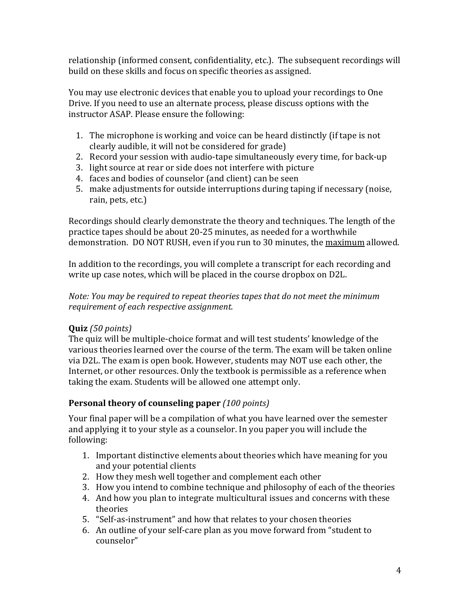relationship (informed consent, confidentiality, etc.). The subsequent recordings will build on these skills and focus on specific theories as assigned.

You may use electronic devices that enable you to upload your recordings to One Drive. If you need to use an alternate process, please discuss options with the instructor ASAP. Please ensure the following:

- 1. The microphone is working and voice can be heard distinctly (if tape is not clearly audible, it will not be considered for grade)
- 2. Record your session with audio-tape simultaneously every time, for back-up
- 3. light source at rear or side does not interfere with picture
- 4. faces and bodies of counselor (and client) can be seen
- 5. make adjustments for outside interruptions during taping if necessary (noise, rain, pets, etc.)

Recordings should clearly demonstrate the theory and techniques. The length of the practice tapes should be about 20-25 minutes, as needed for a worthwhile demonstration. DO NOT RUSH, even if you run to 30 minutes, the maximum allowed.

In addition to the recordings, you will complete a transcript for each recording and write up case notes, which will be placed in the course dropbox on D2L.

### *Note: You may be required to repeat theories tapes that do not meet the minimum requirement of each respective assignment.*

# **Quiz** *(50 points)*

The quiz will be multiple-choice format and will test students' knowledge of the various theories learned over the course of the term. The exam will be taken online via D2L. The exam is open book. However, students may NOT use each other, the Internet, or other resources. Only the textbook is permissible as a reference when taking the exam. Students will be allowed one attempt only.

## **Personal theory of counseling paper** *(100 points)*

Your final paper will be a compilation of what you have learned over the semester and applying it to your style as a counselor. In you paper you will include the following:

- 1. Important distinctive elements about theories which have meaning for you and your potential clients
- 2. How they mesh well together and complement each other
- 3. How you intend to combine technique and philosophy of each of the theories
- 4. And how you plan to integrate multicultural issues and concerns with these theories
- 5. "Self-as-instrument" and how that relates to your chosen theories
- 6. An outline of your self-care plan as you move forward from "student to counselor"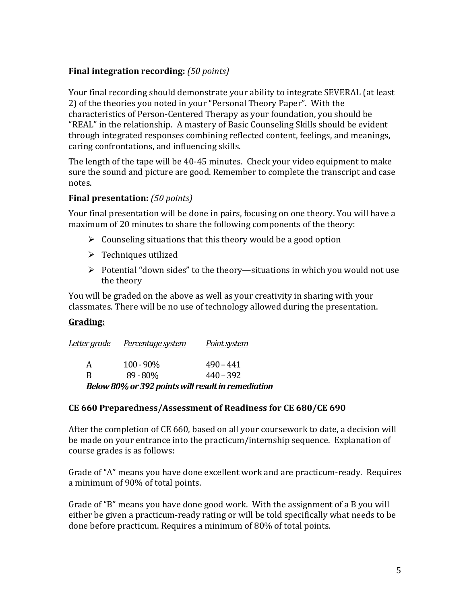## **Final integration recording:** *(50 points)*

Your final recording should demonstrate your ability to integrate SEVERAL (at least 2) of the theories you noted in your "Personal Theory Paper". With the characteristics of Person-Centered Therapy as your foundation, you should be "REAL" in the relationship. A mastery of Basic Counseling Skills should be evident through integrated responses combining reflected content, feelings, and meanings, caring confrontations, and influencing skills.

The length of the tape will be 40-45 minutes. Check your video equipment to make sure the sound and picture are good. Remember to complete the transcript and case notes.

### **Final presentation:** *(50 points)*

Your final presentation will be done in pairs, focusing on one theory. You will have a maximum of 20 minutes to share the following components of the theory:

- $\triangleright$  Counseling situations that this theory would be a good option
- $\triangleright$  Techniques utilized
- $\triangleright$  Potential "down sides" to the theory—situations in which you would not use the theory

You will be graded on the above as well as your creativity in sharing with your classmates. There will be no use of technology allowed during the presentation.

### **Grading:**

| <u>Letter grade</u> | Percentage system                                  | Point system |  |
|---------------------|----------------------------------------------------|--------------|--|
| A                   | $100 - 90\%$                                       | $490 - 441$  |  |
| R                   | $89 - 80\%$                                        | $440 - 392$  |  |
|                     | Below 80% or 392 points will result in remediation |              |  |

### **CE 660 Preparedness/Assessment of Readiness for CE 680/CE 690**

After the completion of CE 660, based on all your coursework to date, a decision will be made on your entrance into the practicum/internship sequence. Explanation of course grades is as follows:

Grade of "A" means you have done excellent work and are practicum-ready. Requires a minimum of 90% of total points.

Grade of "B" means you have done good work. With the assignment of a B you will either be given a practicum-ready rating or will be told specifically what needs to be done before practicum. Requires a minimum of 80% of total points.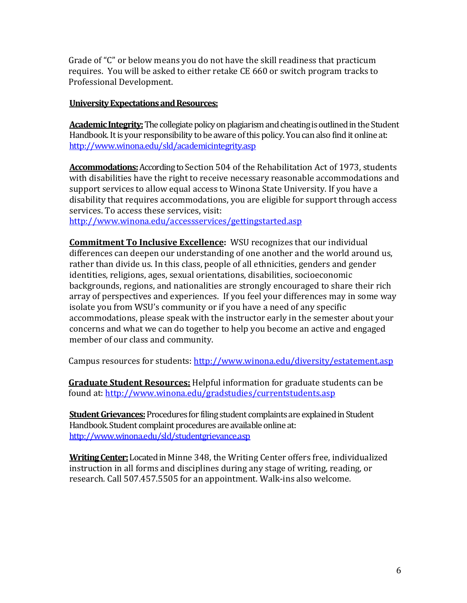Grade of "C" or below means you do not have the skill readiness that practicum requires. You will be asked to either retake CE 660 or switch program tracks to Professional Development.

### **University Expectations and Resources:**

**Academic Integrity:**The collegiate policy on plagiarism and cheating is outlined in the Student Handbook. It is your responsibility to be aware of this policy. You can also find it online at: <http://www.winona.edu/sld/academicintegrity.asp>

**Accommodations:**According to Section 504 of the Rehabilitation Act of 1973, students with disabilities have the right to receive necessary reasonable accommodations and support services to allow equal access to Winona State University. If you have a disability that requires accommodations, you are eligible for support through access services. To access these services, visit:

<http://www.winona.edu/accessservices/gettingstarted.asp>

**Commitment To Inclusive Excellence:** WSU recognizes that our individual differences can deepen our understanding of one another and the world around us, rather than divide us. In this class, people of all ethnicities, genders and gender identities, religions, ages, sexual orientations, disabilities, socioeconomic backgrounds, regions, and nationalities are strongly encouraged to share their rich array of perspectives and experiences. If you feel your differences may in some way isolate you from WSU's community or if you have a need of any specific accommodations, please speak with the instructor early in the semester about your concerns and what we can do together to help you become an active and engaged member of our class and community.

Campus resources for students:<http://www.winona.edu/diversity/estatement.asp>

**Graduate Student Resources:** Helpful information for graduate students can be found at: <http://www.winona.edu/gradstudies/currentstudents.asp>

**Student Grievances:** Procedures for filing student complaints are explained in Student Handbook. Student complaint procedures are available online at: <http://www.winona.edu/sld/studentgrievance.asp>

**Writing Center:**Located in Minne 348, the Writing Center offers free, individualized instruction in all forms and disciplines during any stage of writing, reading, or research. Call 507.457.5505 for an appointment. Walk-ins also welcome.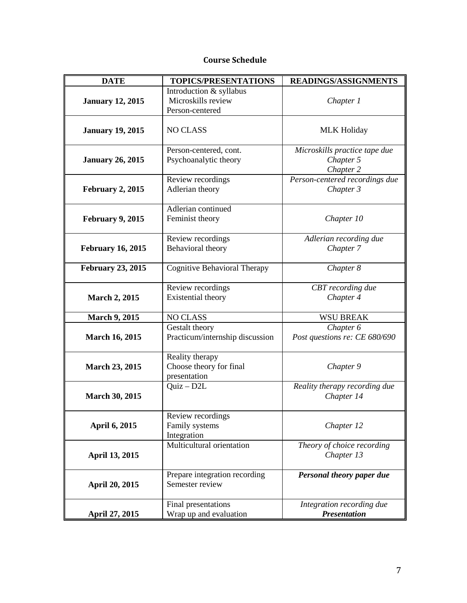### **Course Schedule**

| <b>DATE</b>                                                               | TOPICS/PRESENTATIONS                                             | READINGS/ASSIGNMENTS                                    |  |
|---------------------------------------------------------------------------|------------------------------------------------------------------|---------------------------------------------------------|--|
| <b>January 12, 2015</b>                                                   | Introduction & syllabus<br>Microskills review<br>Person-centered | Chapter 1                                               |  |
| <b>January 19, 2015</b>                                                   | <b>NO CLASS</b>                                                  | <b>MLK Holiday</b>                                      |  |
| <b>January 26, 2015</b>                                                   | Person-centered, cont.<br>Psychoanalytic theory                  | Microskills practice tape due<br>Chapter 5<br>Chapter 2 |  |
| Review recordings<br>Adlerian theory<br><b>February 2, 2015</b>           |                                                                  | Person-centered recordings due<br>Chapter 3             |  |
| <b>February 9, 2015</b>                                                   | Adlerian continued<br>Feminist theory                            | Chapter 10                                              |  |
| <b>February 16, 2015</b>                                                  | Review recordings<br>Behavioral theory                           | Adlerian recording due<br>Chapter 7                     |  |
| <b>February 23, 2015</b>                                                  | <b>Cognitive Behavioral Therapy</b>                              | Chapter 8                                               |  |
| <b>March 2, 2015</b>                                                      | Review recordings<br>Existential theory                          | CBT recording due<br>Chapter 4                          |  |
| <b>March 9, 2015</b>                                                      | <b>NO CLASS</b>                                                  | <b>WSU BREAK</b>                                        |  |
| <b>March 16, 2015</b>                                                     | Gestalt theory<br>Practicum/internship discussion                | Chapter 6<br>Post questions re: CE 680/690              |  |
| <b>March 23, 2015</b>                                                     | Reality therapy<br>Choose theory for final<br>presentation       | Chapter 9                                               |  |
| <b>March 30, 2015</b>                                                     | $Quiz - D2L$                                                     | Reality therapy recording due<br>Chapter 14             |  |
| April 6, 2015                                                             | Review recordings<br>Family systems<br>Integration               | Chapter 12                                              |  |
| April 13, 2015                                                            | Multicultural orientation                                        | Theory of choice recording<br>Chapter 13                |  |
| Prepare integration recording<br>Semester review<br><b>April 20, 2015</b> |                                                                  | Personal theory paper due                               |  |
| April 27, 2015                                                            | Final presentations<br>Wrap up and evaluation                    | Integration recording due<br><b>Presentation</b>        |  |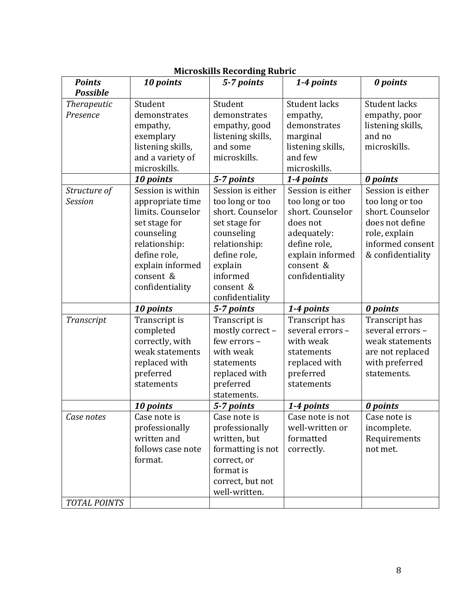| <b>Points</b>                         | 10 points         | 5-7 points        | 1-4 points        | 0 points          |
|---------------------------------------|-------------------|-------------------|-------------------|-------------------|
| <b>Possible</b><br><b>Therapeutic</b> | Student           | Student           | Student lacks     | Student lacks     |
| Presence                              | demonstrates      | demonstrates      | empathy,          | empathy, poor     |
|                                       | empathy,          | empathy, good     | demonstrates      | listening skills, |
|                                       | exemplary         | listening skills, | marginal          | and no            |
|                                       | listening skills, | and some          | listening skills, | microskills.      |
|                                       | and a variety of  | microskills.      | and few           |                   |
|                                       | microskills.      |                   | microskills.      |                   |
|                                       | 10 points         | 5-7 points        | 1-4 points        | 0 points          |
| Structure of                          | Session is within | Session is either | Session is either | Session is either |
| <b>Session</b>                        | appropriate time  | too long or too   | too long or too   | too long or too   |
|                                       | limits. Counselor | short. Counselor  | short. Counselor  | short. Counselor  |
|                                       | set stage for     | set stage for     | does not          | does not define   |
|                                       | counseling        | counseling        | adequately:       | role, explain     |
|                                       | relationship:     | relationship:     | define role,      | informed consent  |
|                                       | define role,      | define role,      | explain informed  | & confidentiality |
|                                       | explain informed  | explain           | consent &         |                   |
|                                       | consent &         | informed          | confidentiality   |                   |
|                                       | confidentiality   | consent &         |                   |                   |
|                                       |                   | confidentiality   |                   |                   |
|                                       | 10 points         | 5-7 points        | 1-4 points        | 0 points          |
| Transcript                            | Transcript is     | Transcript is     | Transcript has    | Transcript has    |
|                                       | completed         | mostly correct -  | several errors -  | several errors -  |
|                                       | correctly, with   | few errors -      | with weak         | weak statements   |
|                                       | weak statements   | with weak         | statements        | are not replaced  |
|                                       | replaced with     | statements        | replaced with     | with preferred    |
|                                       | preferred         | replaced with     | preferred         | statements.       |
|                                       | statements        | preferred         | statements        |                   |
|                                       |                   | statements.       |                   |                   |
|                                       | 10 points         | 5-7 points        | 1-4 points        | 0 points          |
| Case notes                            | Case note is      | Case note is      | Case note is not  | Case note is      |
|                                       | professionally    | professionally    | well-written or   | incomplete.       |
|                                       | written and       | written, but      | formatted         | Requirements      |
|                                       | follows case note | formatting is not | correctly.        | not met.          |
|                                       | format.           | correct, or       |                   |                   |
|                                       |                   | format is         |                   |                   |
|                                       |                   | correct, but not  |                   |                   |
|                                       |                   | well-written.     |                   |                   |
| <b>TOTAL POINTS</b>                   |                   |                   |                   |                   |

### **Microskills Recording Rubric**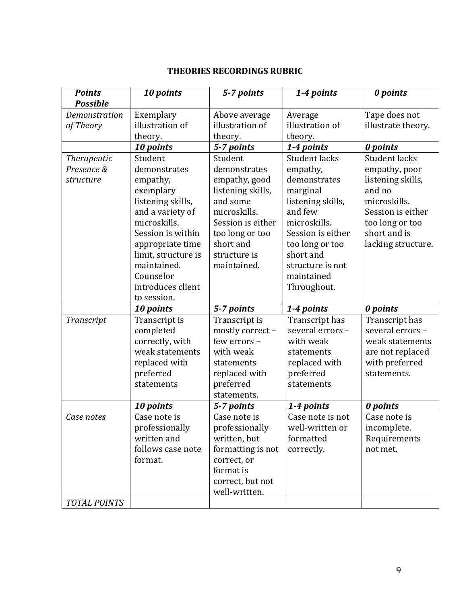## **THEORIES RECORDINGS RUBRIC**

| <b>Points</b>       | 10 points           | 5-7 points        | 1-4 points           | 0 points             |
|---------------------|---------------------|-------------------|----------------------|----------------------|
| <b>Possible</b>     |                     |                   |                      |                      |
| Demonstration       | Exemplary           | Above average     | Average              | Tape does not        |
| of Theory           | illustration of     | illustration of   | illustration of      | illustrate theory.   |
|                     | theory.             | theory.           | theory.              |                      |
|                     | 10 points           | 5-7 points        | 1-4 points           | 0 points             |
| <b>Therapeutic</b>  | Student             | Student           | <b>Student lacks</b> | <b>Student lacks</b> |
| Presence &          | demonstrates        | demonstrates      | empathy,             | empathy, poor        |
| structure           | empathy,            | empathy, good     | demonstrates         | listening skills,    |
|                     | exemplary           | listening skills, | marginal             | and no               |
|                     | listening skills,   | and some          | listening skills,    | microskills.         |
|                     | and a variety of    | microskills.      | and few              | Session is either    |
|                     | microskills.        | Session is either | microskills.         | too long or too      |
|                     | Session is within   | too long or too   | Session is either    | short and is         |
|                     | appropriate time    | short and         | too long or too      | lacking structure.   |
|                     | limit, structure is | structure is      | short and            |                      |
|                     | maintained.         | maintained.       | structure is not     |                      |
|                     | Counselor           |                   | maintained           |                      |
|                     | introduces client   |                   | Throughout.          |                      |
|                     | to session.         |                   |                      |                      |
|                     | 10 points           | 5-7 points        | 1-4 points           | 0 points             |
| Transcript          | Transcript is       | Transcript is     | Transcript has       | Transcript has       |
|                     | completed           | mostly correct -  | several errors -     | several errors -     |
|                     | correctly, with     | few errors -      | with weak            | weak statements      |
|                     | weak statements     | with weak         | statements           | are not replaced     |
|                     | replaced with       | statements        | replaced with        | with preferred       |
|                     | preferred           | replaced with     | preferred            | statements.          |
|                     | statements          | preferred         | statements           |                      |
|                     |                     | statements.       |                      |                      |
|                     | 10 points           | 5-7 points        | 1-4 points           | 0 points             |
| Case notes          | Case note is        | Case note is      | Case note is not     | Case note is         |
|                     | professionally      | professionally    | well-written or      | incomplete.          |
|                     | written and         | written, but      | formatted            | Requirements         |
|                     | follows case note   | formatting is not | correctly.           | not met.             |
|                     | format.             | correct, or       |                      |                      |
|                     |                     | format is         |                      |                      |
|                     |                     | correct, but not  |                      |                      |
|                     |                     | well-written.     |                      |                      |
| <b>TOTAL POINTS</b> |                     |                   |                      |                      |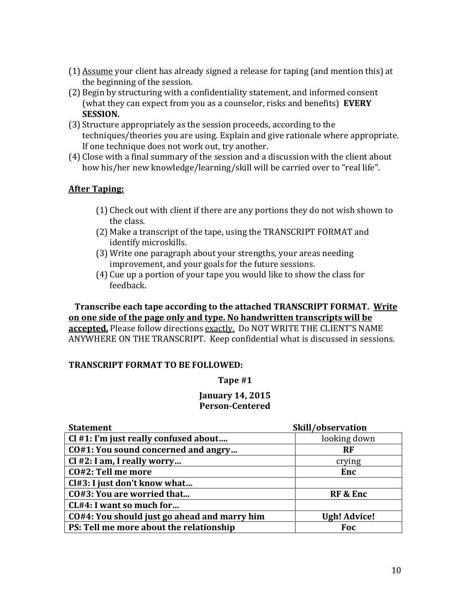- (1) Assume your client has already signed a release for taping (and mention this) at the beginning of the session.
- (2) Begin by structuring with a confidentiality statement, and informed consent (what they can expect from you as a counselor, risks and benefits) **EVERY SESSION.**
- (3) Structure appropriately as the session proceeds, according to the techniques/theories you are using. Explain and give rationale where appropriate. If one technique does not work out, try another.
- (4) Close with a final summary of the session and a discussion with the client about how his/her new knowledge/learning/skill will be carried over to "real life".

### **After Taping:**

- (1) Check out with client if there are any portions they do not wish shown to the class.
- (2) Make a transcript of the tape, using the TRANSCRIPT FORMAT and identify microskills.
- (3) Write one paragraph about your strengths, your areas needing improvement, and your goals for the future sessions.
- (4) Cue up a portion of your tape you would like to show the class for feedback.

### **Transcribe each tape according to the attached TRANSCRIPT FORMAT. Write on one side of the page only and type. No handwritten transcripts will be accepted.** Please follow directions exactly. Do NOT WRITE THE CLIENT'S NAME ANYWHERE ON THE TRANSCRIPT. Keep confidential what is discussed in sessions.

### **TRANSCRIPT FORMAT TO BE FOLLOWED:**

### **Tape #1**

#### **January 14, 2015 Person-Centered**

| Skill/observation<br><b>Statement</b>        |                     |
|----------------------------------------------|---------------------|
| Cl #1: I'm just really confused about        | looking down        |
| CO#1: You sound concerned and angry          | <b>RF</b>           |
| $Cl$ #2: I am, I really worry                | crying              |
| CO#2: Tell me more                           | Enc                 |
| Cl#3: I just don't know what                 |                     |
| CO#3: You are worried that                   | RF & Enc            |
| CL#4: I want so much for                     |                     |
| CO#4: You should just go ahead and marry him | <b>Ugh! Advice!</b> |
| PS: Tell me more about the relationship      | Foc                 |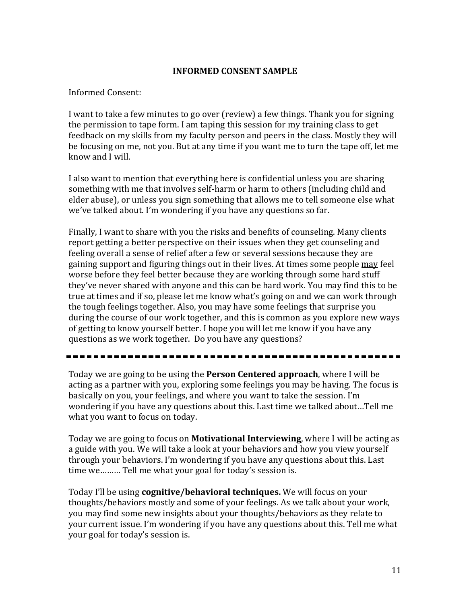#### **INFORMED CONSENT SAMPLE**

#### Informed Consent:

I want to take a few minutes to go over (review) a few things. Thank you for signing the permission to tape form. I am taping this session for my training class to get feedback on my skills from my faculty person and peers in the class. Mostly they will be focusing on me, not you. But at any time if you want me to turn the tape off, let me know and I will.

I also want to mention that everything here is confidential unless you are sharing something with me that involves self-harm or harm to others (including child and elder abuse), or unless you sign something that allows me to tell someone else what we've talked about. I'm wondering if you have any questions so far.

Finally, I want to share with you the risks and benefits of counseling. Many clients report getting a better perspective on their issues when they get counseling and feeling overall a sense of relief after a few or several sessions because they are gaining support and figuring things out in their lives. At times some people may feel worse before they feel better because they are working through some hard stuff they've never shared with anyone and this can be hard work. You may find this to be true at times and if so, please let me know what's going on and we can work through the tough feelings together. Also, you may have some feelings that surprise you during the course of our work together, and this is common as you explore new ways of getting to know yourself better. I hope you will let me know if you have any questions as we work together. Do you have any questions?

Today we are going to be using the **Person Centered approach**, where I will be acting as a partner with you, exploring some feelings you may be having. The focus is basically on you, your feelings, and where you want to take the session. I'm wondering if you have any questions about this. Last time we talked about…Tell me what you want to focus on today.

Today we are going to focus on **Motivational Interviewing**, where I will be acting as a guide with you. We will take a look at your behaviors and how you view yourself through your behaviors. I'm wondering if you have any questions about this. Last time we……… Tell me what your goal for today's session is.

Today I'll be using **cognitive/behavioral techniques.** We will focus on your thoughts/behaviors mostly and some of your feelings. As we talk about your work, you may find some new insights about your thoughts/behaviors as they relate to your current issue. I'm wondering if you have any questions about this. Tell me what your goal for today's session is.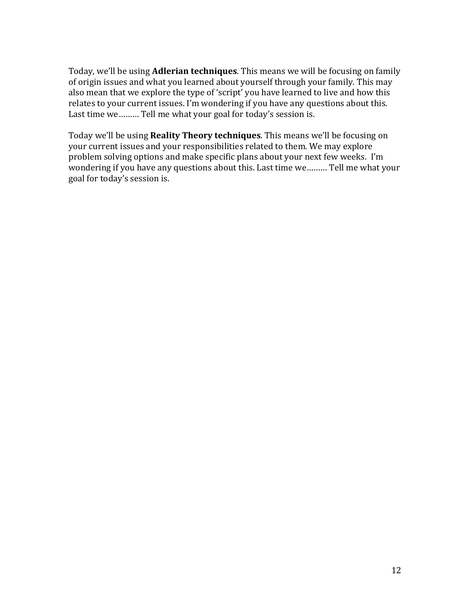Today, we'll be using **Adlerian techniques**. This means we will be focusing on family of origin issues and what you learned about yourself through your family. This may also mean that we explore the type of 'script' you have learned to live and how this relates to your current issues. I'm wondering if you have any questions about this. Last time we……… Tell me what your goal for today's session is.

Today we'll be using **Reality Theory techniques**. This means we'll be focusing on your current issues and your responsibilities related to them. We may explore problem solving options and make specific plans about your next few weeks. I'm wondering if you have any questions about this. Last time we……… Tell me what your goal for today's session is.